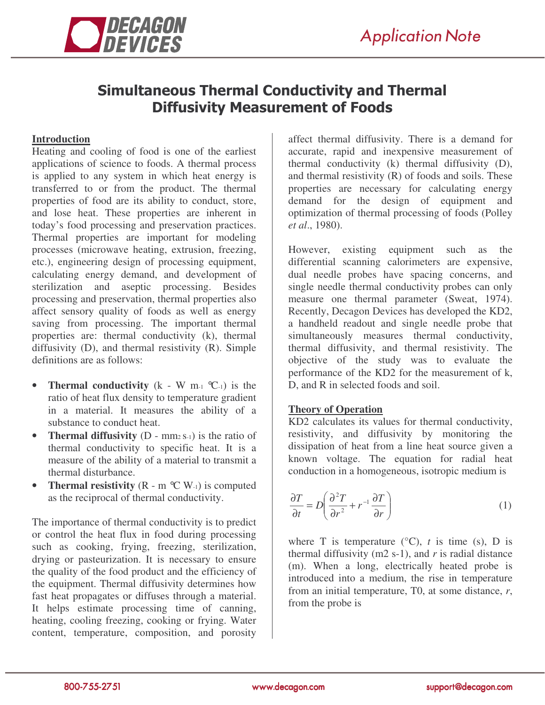

# **Simultaneous Thermal Conductivity and Thermal Diffusivity Measurement of Foods**

## **Introduction**

Heating and cooling of food is one of the earliest applications of science to foods. A thermal process is applied to any system in which heat energy is transferred to or from the product. The thermal properties of food are its ability to conduct, store, and lose heat. These properties are inherent in today's food processing and preservation practices. Thermal properties are important for modeling processes (microwave heating, extrusion, freezing, etc.), engineering design of processing equipment, calculating energy demand, and development of sterilization and aseptic processing. Besides processing and preservation, thermal properties also affect sensory quality of foods as well as energy saving from processing. The important thermal properties are: thermal conductivity (k), thermal diffusivity (D), and thermal resistivity (R). Simple definitions are as follows:

- **Thermal conductivity** (k W m-1 °C-1) is the ratio of heat flux density to temperature gradient in a material. It measures the ability of a substance to conduct heat.
- **Thermal diffusivity** (D mm<sub>2</sub> S<sub>-1</sub>) is the ratio of thermal conductivity to specific heat. It is a measure of the ability of a material to transmit a thermal disturbance.
- **Thermal resistivity**  $(R m \mathcal{C} W_{-1})$  is computed as the reciprocal of thermal conductivity.

The importance of thermal conductivity is to predict or control the heat flux in food during processing such as cooking, frying, freezing, sterilization, drying or pasteurization. It is necessary to ensure the quality of the food product and the efficiency of the equipment. Thermal diffusivity determines how fast heat propagates or diffuses through a material. It helps estimate processing time of canning, heating, cooling freezing, cooking or frying. Water content, temperature, composition, and porosity

affect thermal diffusivity. There is a demand for accurate, rapid and inexpensive measurement of thermal conductivity (k) thermal diffusivity (D), and thermal resistivity (R) of foods and soils. These properties are necessary for calculating energy demand for the design of equipment and optimization of thermal processing of foods (Polley *et al*., 1980).

However, existing equipment such as the differential scanning calorimeters are expensive, dual needle probes have spacing concerns, and single needle thermal conductivity probes can only measure one thermal parameter (Sweat, 1974). Recently, Decagon Devices has developed the KD2, a handheld readout and single needle probe that simultaneously measures thermal conductivity, thermal diffusivity, and thermal resistivity. The objective of the study was to evaluate the performance of the KD2 for the measurement of k, D, and R in selected foods and soil.

## **Theory of Operation**

KD2 calculates its values for thermal conductivity, resistivity, and diffusivity by monitoring the dissipation of heat from a line heat source given a known voltage. The equation for radial heat conduction in a homogeneous, isotropic medium is

$$
\frac{\partial T}{\partial t} = D \left( \frac{\partial^2 T}{\partial r^2} + r^{-1} \frac{\partial T}{\partial r} \right)
$$
 (1)

where T is temperature  $(^{\circ}C)$ , *t* is time (s), D is thermal diffusivity (m2 s-1), and *r* is radial distance (m). When a long, electrically heated probe is introduced into a medium, the rise in temperature from an initial temperature, T0, at some distance, *r*, from the probe is